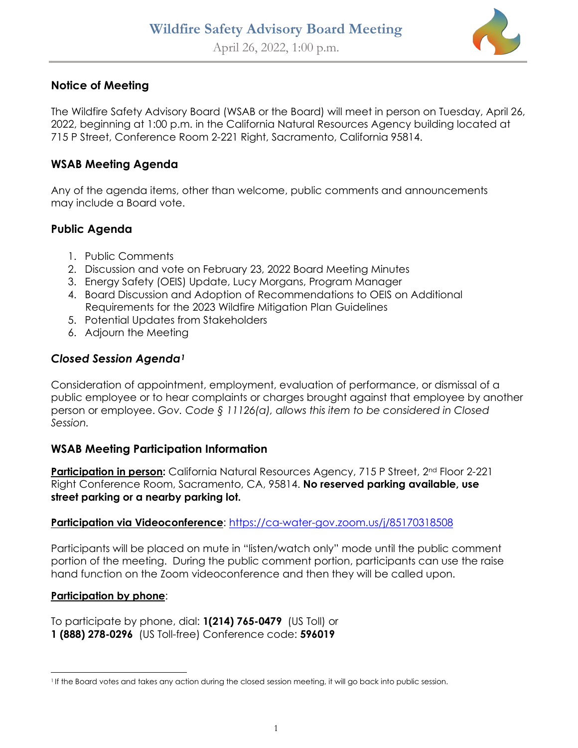

## **Notice of Meeting**

The Wildfire Safety Advisory Board (WSAB or the Board) will meet in person on Tuesday, April 26, 2022, beginning at 1:00 p.m. in the California Natural Resources Agency building located at 715 P Street, Conference Room 2-221 Right, Sacramento, California 95814.

#### **WSAB Meeting Agenda**

Any of the agenda items, other than welcome, public comments and announcements may include a Board vote.

# **Public Agenda**

- 1. Public Comments
- 2. Discussion and vote on February 23, 2022 Board Meeting Minutes
- 3. Energy Safety (OEIS) Update, Lucy Morgans, Program Manager
- 4. Board Discussion and Adoption of Recommendations to OEIS on Additional Requirements for the 2023 Wildfire Mitigation Plan Guidelines
- 5. Potential Updates from Stakeholders
- 6. Adjourn the Meeting

# *Closed Session Agenda[1](#page-0-0)*

Consideration of appointment, employment, evaluation of performance, or dismissal of a public employee or to hear complaints or charges brought against that employee by another person or employee. *Gov. Code § 11126(a), allows this item to be considered in Closed Session.* 

### **WSAB Meeting Participation Information**

**Participation in person:** California Natural Resources Agency, 715 P Street, 2<sup>nd</sup> Floor 2-221 Right Conference Room, Sacramento, CA, 95814. **No reserved parking available, use street parking or a nearby parking lot.**

#### **Participation via Videoconference**:<https://ca-water-gov.zoom.us/j/85170318508>

Participants will be placed on mute in "listen/watch only" mode until the public comment portion of the meeting. During the public comment portion, participants can use the raise hand function on the Zoom videoconference and then they will be called upon.

#### **Participation by phone**:

To participate by phone, dial: **1(214) 765-0479** (US Toll) or **1 (888) 278-0296** (US Toll-free) Conference code: **596019**

<span id="page-0-0"></span><sup>1</sup> If the Board votes and takes any action during the closed session meeting, it will go back into public session.